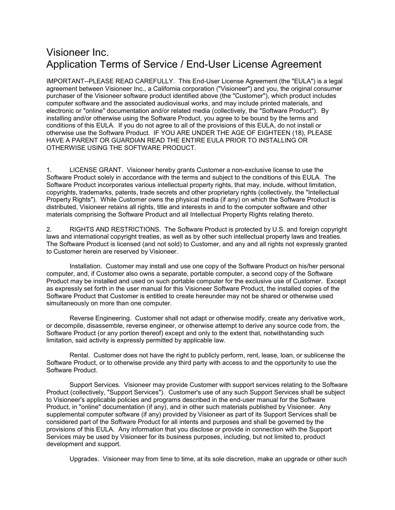## Visioneer Inc. Application Terms of Service / End-User License Agreement

IMPORTANT--PLEASE READ CAREFULLY. This End-User License Agreement (the "EULA") is a legal agreement between Visioneer Inc., a California corporation ("Visioneer") and you, the original consumer purchaser of the Visioneer software product identified above (the "Customer"), which product includes computer software and the associated audiovisual works, and may include printed materials, and electronic or "online" documentation and/or related media (collectively, the "Software Product"). By installing and/or otherwise using the Software Product, you agree to be bound by the terms and conditions of this EULA. If you do not agree to all of the provisions of this EULA, do not install or otherwise use the Software Product. IF YOU ARE UNDER THE AGE OF EIGHTEEN (18), PLEASE HAVE A PARENT OR GUARDIAN READ THE ENTIRE EULA PRIOR TO INSTALLING OR OTHERWISE USING THE SOFTWARE PRODUCT.

1. LICENSE GRANT. Visioneer hereby grants Customer a non-exclusive license to use the Software Product solely in accordance with the terms and subject to the conditions of this EULA. The Software Product incorporates various intellectual property rights, that may, include, without limitation, copyrights, trademarks, patents, trade secrets and other proprietary rights (collectively, the "Intellectual Property Rights"). While Customer owns the physical media (if any) on which the Software Product is distributed, Visioneer retains all rights, title and interests in and to the computer software and other materials comprising the Software Product and all Intellectual Property Rights relating thereto.

2. RIGHTS AND RESTRICTIONS. The Software Product is protected by U.S. and foreign copyright laws and international copyright treaties, as well as by other such intellectual property laws and treaties. The Software Product is licensed (and not sold) to Customer, and any and all rights not expressly granted to Customer herein are reserved by Visioneer.

Installation. Customer may install and use one copy of the Software Product on his/her personal computer, and, if Customer also owns a separate, portable computer, a second copy of the Software Product may be installed and used on such portable computer for the exclusive use of Customer. Except as expressly set forth in the user manual for this Visioneer Software Product, the installed copies of the Software Product that Customer is entitled to create hereunder may not be shared or otherwise used simultaneously on more than one computer.

Reverse Engineering. Customer shall not adapt or otherwise modify, create any derivative work, or decompile, disassemble, reverse engineer, or otherwise attempt to derive any source code from, the Software Product (or any portion thereof) except and only to the extent that, notwithstanding such limitation, said activity is expressly permitted by applicable law.

Rental. Customer does not have the right to publicly perform, rent, lease, loan, or sublicense the Software Product, or to otherwise provide any third party with access to and the opportunity to use the Software Product.

Support Services. Visioneer may provide Customer with support services relating to the Software Product (collectively, "Support Services"). Customer's use of any such Support Services shall be subject to Visioneer's applicable policies and programs described in the end-user manual for the Software Product, in "online" documentation (if any), and in other such materials published by Visioneer. Any supplemental computer software (if any) provided by Visioneer as part of its Support Services shall be considered part of the Software Product for all intents and purposes and shall be governed by the provisions of this EULA. Any information that you disclose or provide in connection with the Support Services may be used by Visioneer for its business purposes, including, but not limited to, product development and support.

Upgrades. Visioneer may from time to time, at its sole discretion, make an upgrade or other such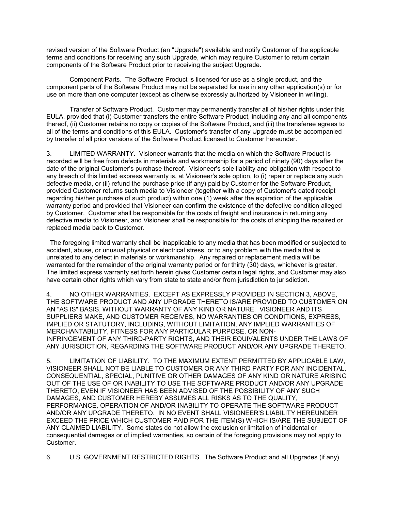revised version of the Software Product (an "Upgrade") available and notify Customer of the applicable terms and conditions for receiving any such Upgrade, which may require Customer to return certain components of the Software Product prior to receiving the subject Upgrade.

Component Parts. The Software Product is licensed for use as a single product, and the component parts of the Software Product may not be separated for use in any other application(s) or for use on more than one computer (except as otherwise expressly authorized by Visioneer in writing).

Transfer of Software Product. Customer may permanently transfer all of his/her rights under this EULA, provided that (i) Customer transfers the entire Software Product, including any and all components thereof, (ii) Customer retains no copy or copies of the Software Product, and (iii) the transferee agrees to all of the terms and conditions of this EULA. Customer's transfer of any Upgrade must be accompanied by transfer of all prior versions of the Software Product licensed to Customer hereunder.

3. LIMITED WARRANTY. Visioneer warrants that the media on which the Software Product is recorded will be free from defects in materials and workmanship for a period of ninety (90) days after the date of the original Customer's purchase thereof. Visioneer's sole liability and obligation with respect to any breach of this limited express warranty is, at Visioneer's sole option, to (i) repair or replace any such defective media, or (ii) refund the purchase price (if any) paid by Customer for the Software Product, provided Customer returns such media to Visioneer (together with a copy of Customer's dated receipt regarding his/her purchase of such product) within one (1) week after the expiration of the applicable warranty period and provided that Visioneer can confirm the existence of the defective condition alleged by Customer. Customer shall be responsible for the costs of freight and insurance in returning any defective media to Visioneer, and Visioneer shall be responsible for the costs of shipping the repaired or replaced media back to Customer.

 The foregoing limited warranty shall be inapplicable to any media that has been modified or subjected to accident, abuse, or unusual physical or electrical stress, or to any problem with the media that is unrelated to any defect in materials or workmanship. Any repaired or replacement media will be warranted for the remainder of the original warranty period or for thirty (30) days, whichever is greater. The limited express warranty set forth herein gives Customer certain legal rights, and Customer may also have certain other rights which vary from state to state and/or from jurisdiction to jurisdiction.

4. NO OTHER WARRANTIES. EXCEPT AS EXPRESSLY PROVIDED IN SECTION 3, ABOVE, THE SOFTWARE PRODUCT AND ANY UPGRADE THERETO IS/ARE PROVIDED TO CUSTOMER ON AN "AS IS" BASIS, WITHOUT WARRANTY OF ANY KIND OR NATURE. VISIONEER AND ITS SUPPLIERS MAKE, AND CUSTOMER RECEIVES, NO WARRANTIES OR CONDITIONS, EXPRESS, IMPLIED OR STATUTORY, INCLUDING, WITHOUT LIMITATION, ANY IMPLIED WARRANTIES OF MERCHANTABILITY, FITNESS FOR ANY PARTICULAR PURPOSE, OR NON-INFRINGEMENT OF ANY THIRD-PARTY RIGHTS, AND THEIR EQUIVALENTS UNDER THE LAWS OF ANY JURISDICTION, REGARDING THE SOFTWARE PRODUCT AND/OR ANY UPGRADE THERETO.

5. LIMITATION OF LIABILITY. TO THE MAXIMUM EXTENT PERMITTED BY APPLICABLE LAW, VISIONEER SHALL NOT BE LIABLE TO CUSTOMER OR ANY THIRD PARTY FOR ANY INCIDENTAL, CONSEQUENTIAL, SPECIAL, PUNITIVE OR OTHER DAMAGES OF ANY KIND OR NATURE ARISING OUT OF THE USE OF OR INABILITY TO USE THE SOFTWARE PRODUCT AND/OR ANY UPGRADE THERETO, EVEN IF VISIONEER HAS BEEN ADVISED OF THE POSSIBILITY OF ANY SUCH DAMAGES, AND CUSTOMER HEREBY ASSUMES ALL RISKS AS TO THE QUALITY, PERFORMANCE, OPERATION OF AND/OR INABILITY TO OPERATE THE SOFTWARE PRODUCT AND/OR ANY UPGRADE THERETO. IN NO EVENT SHALL VISIONEER'S LIABILITY HEREUNDER EXCEED THE PRICE WHICH CUSTOMER PAID FOR THE ITEM(S) WHICH IS/ARE THE SUBJECT OF ANY CLAIMED LIABILITY. Some states do not allow the exclusion or limitation of incidental or consequential damages or of implied warranties, so certain of the foregoing provisions may not apply to Customer.

6. U.S. GOVERNMENT RESTRICTED RIGHTS. The Software Product and all Upgrades (if any)